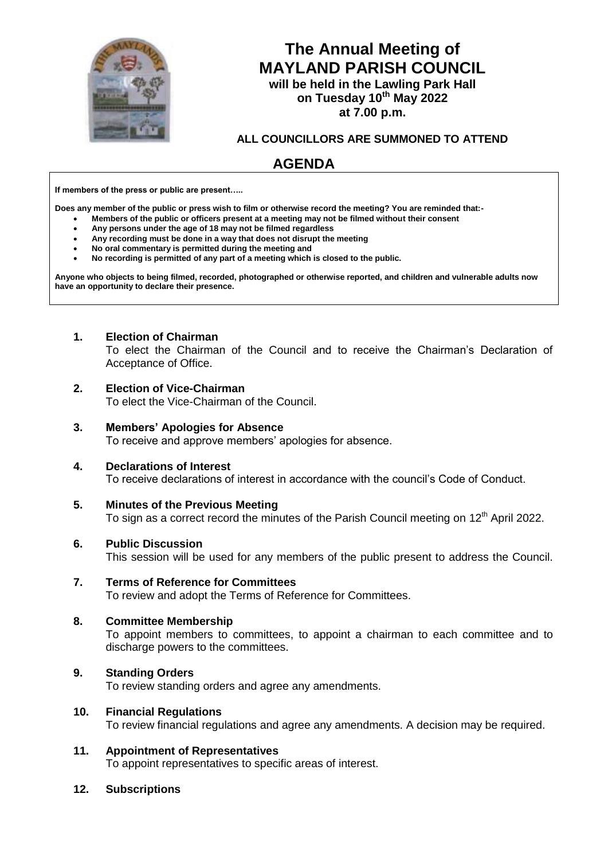

# **The Annual Meeting of MAYLAND PARISH COUNCIL**

**will be held in the Lawling Park Hall on Tuesday 10th May 2022 at 7.00 p.m.**

**ALL COUNCILLORS ARE SUMMONED TO ATTEND**

# **AGENDA**

**If members of the press or public are present…..**

**Does any member of the public or press wish to film or otherwise record the meeting? You are reminded that:-**

- **Members of the public or officers present at a meeting may not be filmed without their consent**
- **Any persons under the age of 18 may not be filmed regardless**
- **Any recording must be done in a way that does not disrupt the meeting**
- **No oral commentary is permitted during the meeting and**
- **No recording is permitted of any part of a meeting which is closed to the public.**

**Anyone who objects to being filmed, recorded, photographed or otherwise reported, and children and vulnerable adults now have an opportunity to declare their presence.**

# **1. Election of Chairman**

To elect the Chairman of the Council and to receive the Chairman's Declaration of Acceptance of Office.

# **2. Election of Vice-Chairman**

To elect the Vice-Chairman of the Council.

# **3. Members' Apologies for Absence**

To receive and approve members' apologies for absence.

# **4. Declarations of Interest**

To receive declarations of interest in accordance with the council's Code of Conduct.

**5. Minutes of the Previous Meeting**

To sign as a correct record the minutes of the Parish Council meeting on 12<sup>th</sup> April 2022.

# **6. Public Discussion**

This session will be used for any members of the public present to address the Council.

**7. Terms of Reference for Committees** To review and adopt the Terms of Reference for Committees.

# **8. Committee Membership**

To appoint members to committees, to appoint a chairman to each committee and to discharge powers to the committees.

# **9. Standing Orders**

To review standing orders and agree any amendments.

# **10. Financial Regulations**

To review financial regulations and agree any amendments. A decision may be required.

# **11. Appointment of Representatives**

To appoint representatives to specific areas of interest.

# **12. Subscriptions**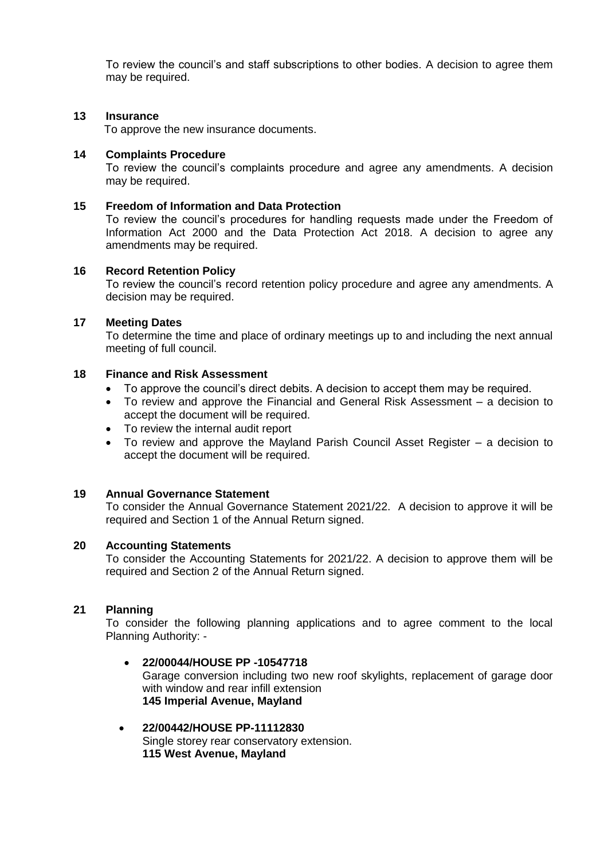To review the council's and staff subscriptions to other bodies. A decision to agree them may be required.

#### **13 Insurance**

To approve the new insurance documents.

#### **14 Complaints Procedure**

To review the council's complaints procedure and agree any amendments. A decision may be required.

#### **15 Freedom of Information and Data Protection**

To review the council's procedures for handling requests made under the Freedom of Information Act 2000 and the Data Protection Act 2018. A decision to agree any amendments may be required.

#### **16 Record Retention Policy**

To review the council's record retention policy procedure and agree any amendments. A decision may be required.

#### **17 Meeting Dates**

To determine the time and place of ordinary meetings up to and including the next annual meeting of full council.

# **18 Finance and Risk Assessment**

- To approve the council's direct debits. A decision to accept them may be required.
- To review and approve the Financial and General Risk Assessment a decision to accept the document will be required.
- To review the internal audit report
- To review and approve the Mayland Parish Council Asset Register a decision to accept the document will be required.

#### **19 Annual Governance Statement**

To consider the Annual Governance Statement 2021/22. A decision to approve it will be required and Section 1 of the Annual Return signed.

#### **20 Accounting Statements**

To consider the Accounting Statements for 2021/22. A decision to approve them will be required and Section 2 of the Annual Return signed.

#### **21 Planning**

To consider the following planning applications and to agree comment to the local Planning Authority: -

#### **22/00044/HOUSE PP -10547718**

Garage conversion including two new roof skylights, replacement of garage door with window and rear infill extension **145 Imperial Avenue, Mayland**

#### **22/00442/HOUSE PP-11112830** Single storey rear conservatory extension. **115 West Avenue, Mayland**